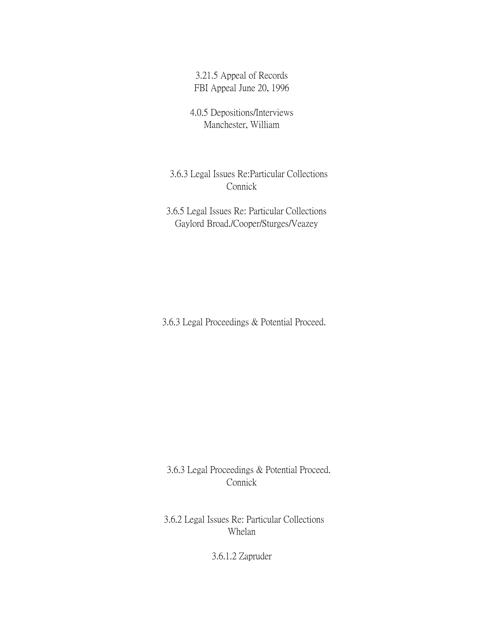3.21.5 Appeal of Records FBI Appeal June 20, 1996

4.0.5 Depositions/Interviews Manchester, William

 3.6.3 Legal Issues Re:Particular Collections Connick

 3.6.5 Legal Issues Re: Particular Collections Gaylord Broad./Cooper/Sturges/Veazey

3.6.3 Legal Proceedings & Potential Proceed.

 3.6.3 Legal Proceedings & Potential Proceed. Connick

3.6.2 Legal Issues Re: Particular Collections Whelan

3.6.1.2 Zapruder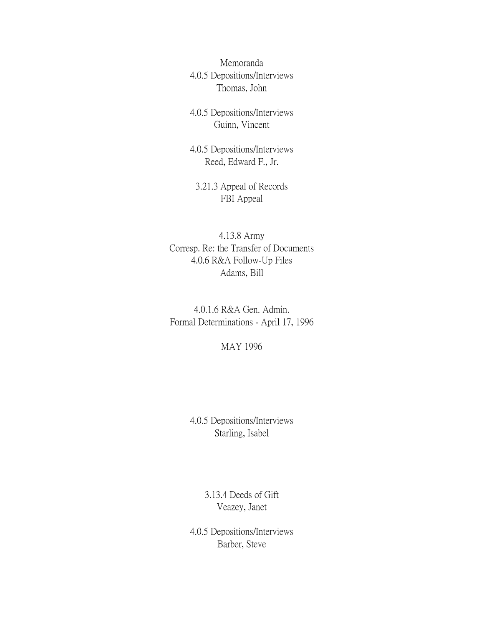Memoranda 4.0.5 Depositions/Interviews Thomas, John

4.0.5 Depositions/Interviews Guinn, Vincent

4.0.5 Depositions/Interviews Reed, Edward F., Jr.

3.21.3 Appeal of Records FBI Appeal

4.13.8 Army Corresp. Re: the Transfer of Documents 4.0.6 R&A Follow-Up Files Adams, Bill

4.0.1.6 R&A Gen. Admin. Formal Determinations - April 17, 1996

MAY 1996

4.0.5 Depositions/Interviews Starling, Isabel

> 3.13.4 Deeds of Gift Veazey, Janet

4.0.5 Depositions/Interviews Barber, Steve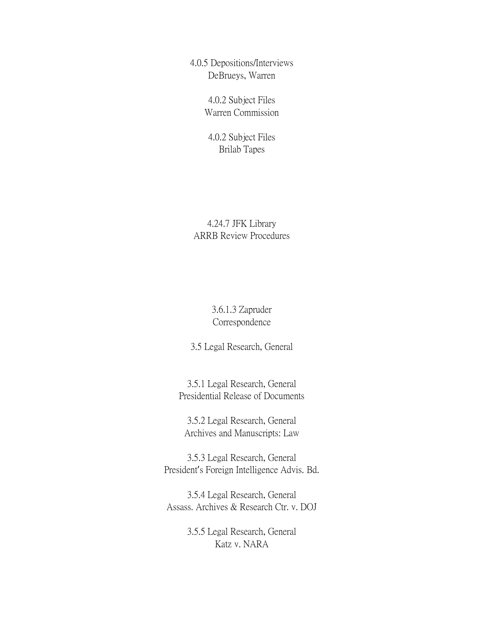4.0.5 Depositions/Interviews DeBrueys, Warren

> 4.0.2 Subject Files Warren Commission

4.0.2 Subject Files Brilab Tapes

4.24.7 JFK Library ARRB Review Procedures

> 3.6.1.3 Zapruder Correspondence

3.5 Legal Research, General

3.5.1 Legal Research, General Presidential Release of Documents

3.5.2 Legal Research, General Archives and Manuscripts: Law

3.5.3 Legal Research, General President's Foreign Intelligence Advis. Bd.

3.5.4 Legal Research, General Assass. Archives & Research Ctr. v. DOJ

> 3.5.5 Legal Research, General Katz v. NARA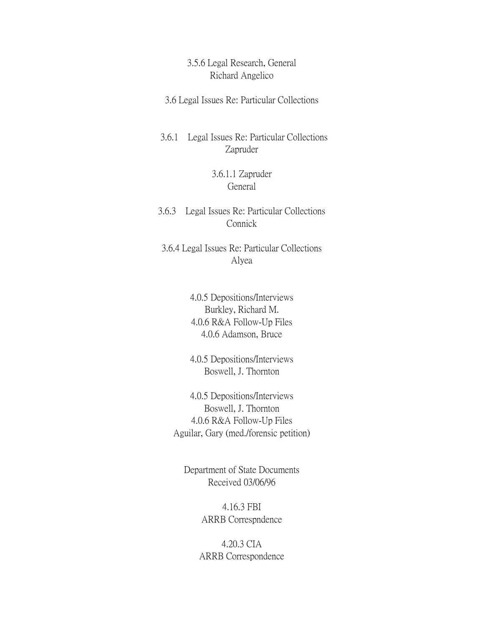## 3.5.6 Legal Research, General Richard Angelico

3.6 Legal Issues Re: Particular Collections

3.6.1 Legal Issues Re: Particular Collections Zapruder

## 3.6.1.1 Zapruder General

3.6.3 Legal Issues Re: Particular Collections Connick

3.6.4 Legal Issues Re: Particular Collections Alyea

> 4.0.5 Depositions/Interviews Burkley, Richard M. 4.0.6 R&A Follow-Up Files 4.0.6 Adamson, Bruce

> 4.0.5 Depositions/Interviews Boswell, J. Thornton

4.0.5 Depositions/Interviews Boswell, J. Thornton 4.0.6 R&A Follow-Up Files Aguilar, Gary (med./forensic petition)

Department of State Documents Received 03/06/96

> 4.16.3 FBI ARRB Correspndence

4.20.3 CIA ARRB Correspondence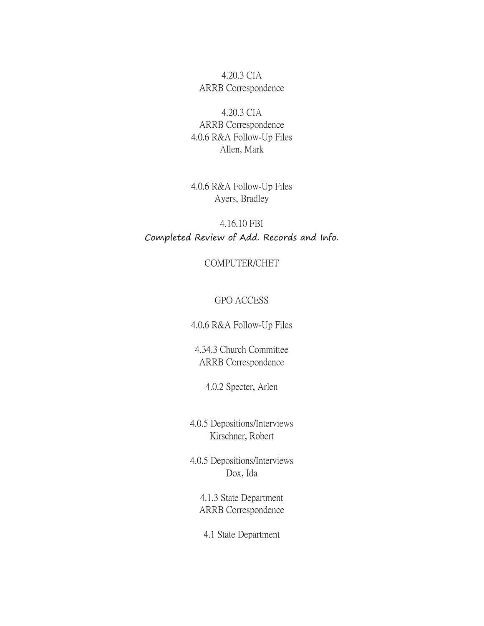4.20.3 CIA ARRB Correspondence

4.20.3 CIA ARRB Correspondence 4.0.6 R&A Follow-Up Files Allen, Mark

4.0.6 R&A Follow-Up Files Ayers, Bradley

4.16.10 FBI Completed Review of Add. Records and Info.

COMPUTER/CHET

GPO ACCESS

4.0.6 R&A Follow-Up Files

4.34.3 Church Committee ARRB Correspondence

4.0.2 Specter, Arlen

4.0.5 Depositions/Interviews Kirschner, Robert

4.0.5 Depositions/Interviews Dox, Ida

4.1.3 State Department ARRB Correspondence

4.1 State Department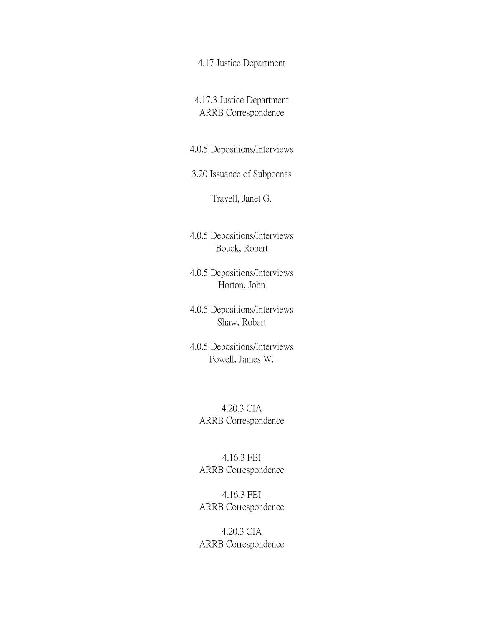4.17 Justice Department

4.17.3 Justice Department ARRB Correspondence

4.0.5 Depositions/Interviews

3.20 Issuance of Subpoenas

Travell, Janet G.

4.0.5 Depositions/Interviews Bouck, Robert

4.0.5 Depositions/Interviews Horton, John

4.0.5 Depositions/Interviews Shaw, Robert

4.0.5 Depositions/Interviews Powell, James W.

4.20.3 CIA ARRB Correspondence

4.16.3 FBI ARRB Correspondence

4.16.3 FBI ARRB Correspondence

4.20.3 CIA ARRB Correspondence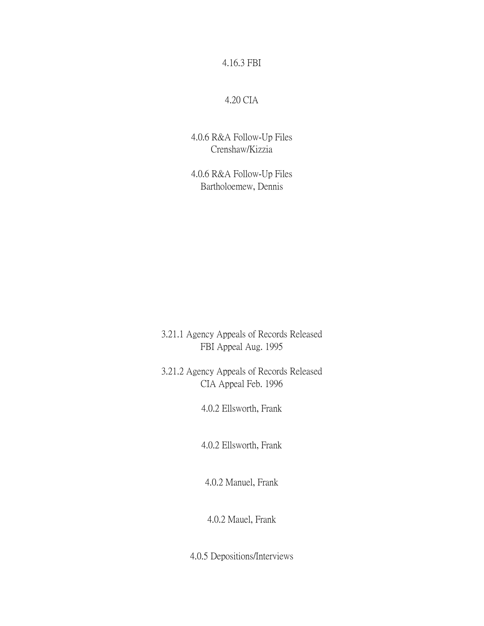4.16.3 FBI

## 4.20 CIA

4.0.6 R&A Follow-Up Files Crenshaw/Kizzia

4.0.6 R&A Follow-Up Files Bartholoemew, Dennis

3.21.1 Agency Appeals of Records Released FBI Appeal Aug. 1995

3.21.2 Agency Appeals of Records Released CIA Appeal Feb. 1996

4.0.2 Ellsworth, Frank

4.0.2 Ellsworth, Frank

4.0.2 Manuel, Frank

4.0.2 Mauel, Frank

4.0.5 Depositions/Interviews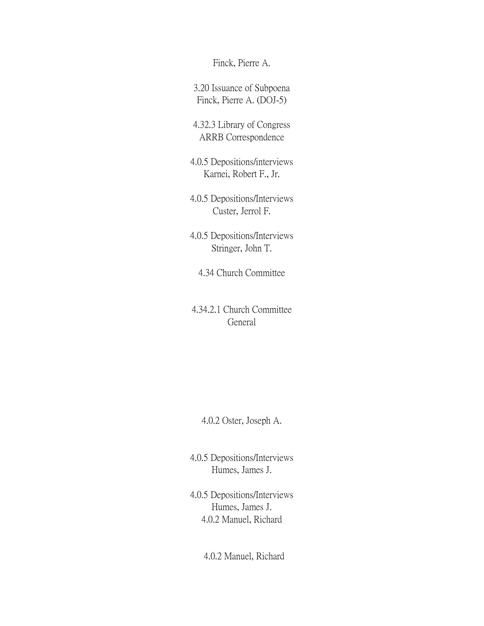Finck, Pierre A.

3.20 Issuance of Subpoena Finck, Pierre A. (DOJ-5)

4.32.3 Library of Congress ARRB Correspondence

- 4.0.5 Depositions/interviews Karnei, Robert F., Jr.
- 4.0.5 Depositions/Interviews Custer, Jerrol F.
- 4.0.5 Depositions/Interviews Stringer, John T.

4.34 Church Committee

4.34.2.1 Church Committee General

4.0.2 Oster, Joseph A.

4.0.5 Depositions/Interviews Humes, James J.

4.0.5 Depositions/Interviews Humes, James J. 4.0.2 Manuel, Richard

4.0.2 Manuel, Richard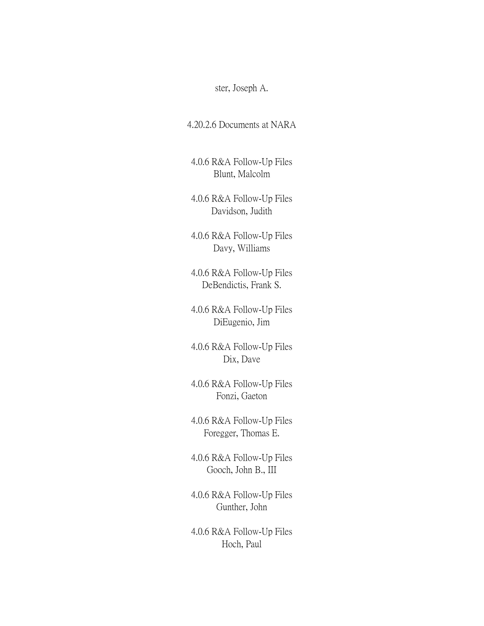ster, Joseph A.

4.20.2.6 Documents at NARA

4.0.6 R&A Follow-Up Files Blunt, Malcolm

4.0.6 R&A Follow-Up Files Davidson, Judith

4.0.6 R&A Follow-Up Files Davy, Williams

4.0.6 R&A Follow-Up Files DeBendictis, Frank S.

4.0.6 R&A Follow-Up Files DiEugenio, Jim

4.0.6 R&A Follow-Up Files Dix, Dave

4.0.6 R&A Follow-Up Files Fonzi, Gaeton

4.0.6 R&A Follow-Up Files Foregger, Thomas E.

4.0.6 R&A Follow-Up Files Gooch, John B., III

4.0.6 R&A Follow-Up Files Gunther, John

4.0.6 R&A Follow-Up Files Hoch, Paul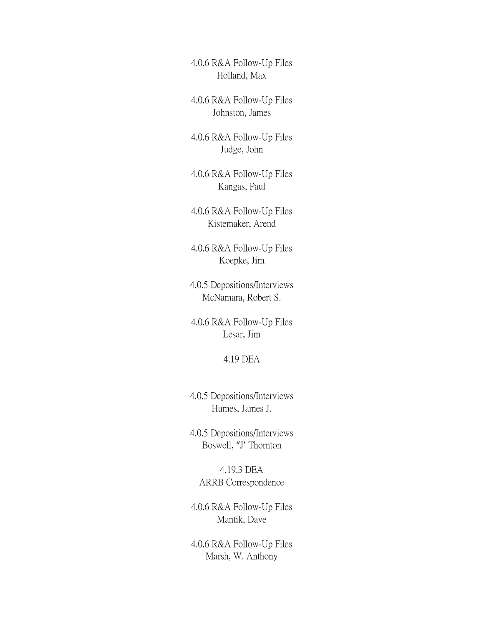4.0.6 R&A Follow-Up Files Holland, Max

4.0.6 R&A Follow-Up Files Johnston, James

4.0.6 R&A Follow-Up Files Judge, John

4.0.6 R&A Follow-Up Files Kangas, Paul

4.0.6 R&A Follow-Up Files Kistemaker, Arend

4.0.6 R&A Follow-Up Files Koepke, Jim

4.0.5 Depositions/Interviews McNamara, Robert S.

4.0.6 R&A Follow-Up Files Lesar, Jim

4.19 DEA

4.0.5 Depositions/Interviews Humes, James J.

4.0.5 Depositions/Interviews Boswell, "J' Thornton

4.19.3 DEA ARRB Correspondence

4.0.6 R&A Follow-Up Files Mantik, Dave

4.0.6 R&A Follow-Up Files Marsh, W. Anthony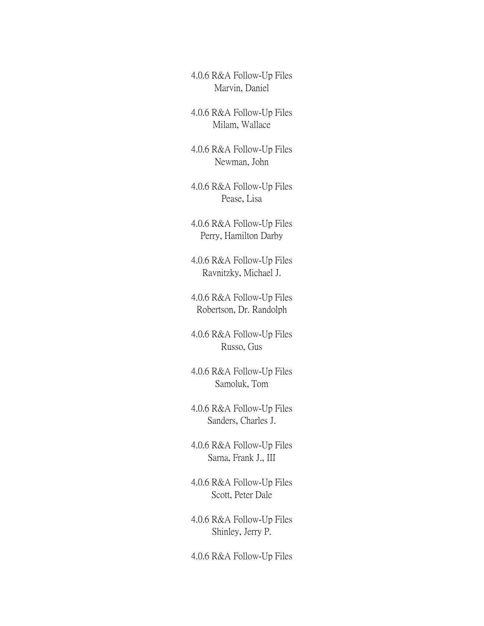4.0.6 R&A Follow-Up Files Marvin, Daniel

4.0.6 R&A Follow-Up Files Milam, Wallace

4.0.6 R&A Follow-Up Files Newman, John

4.0.6 R&A Follow-Up Files Pease, Lisa

4.0.6 R&A Follow-Up Files Perry, Hamilton Darby

4.0.6 R&A Follow-Up Files Ravnitzky, Michael J.

4.0.6 R&A Follow-Up Files Robertson, Dr. Randolph

4.0.6 R&A Follow-Up Files Russo, Gus

4.0.6 R&A Follow-Up Files Samoluk, Tom

4.0.6 R&A Follow-Up Files Sanders, Charles J.

4.0.6 R&A Follow-Up Files Sarna, Frank J., III

4.0.6 R&A Follow-Up Files Scott, Peter Dale

4.0.6 R&A Follow-Up Files Shinley, Jerry P.

4.0.6 R&A Follow-Up Files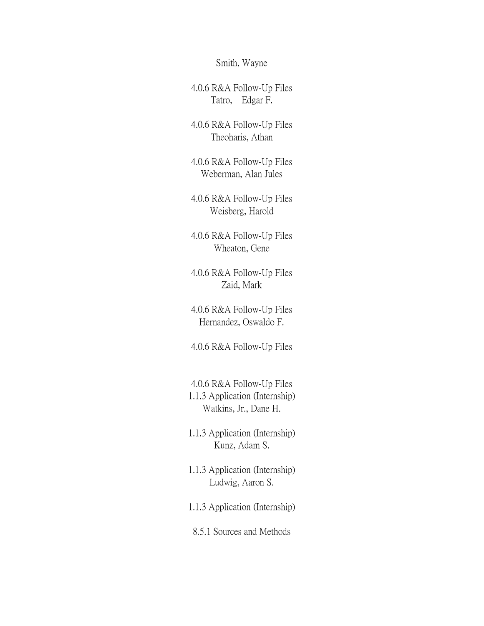Smith, Wayne

4.0.6 R&A Follow-Up Files Tatro, Edgar F.

4.0.6 R&A Follow-Up Files Theoharis, Athan

4.0.6 R&A Follow-Up Files Weberman, Alan Jules

4.0.6 R&A Follow-Up Files Weisberg, Harold

4.0.6 R&A Follow-Up Files Wheaton, Gene

4.0.6 R&A Follow-Up Files Zaid, Mark

4.0.6 R&A Follow-Up Files Hernandez, Oswaldo F.

4.0.6 R&A Follow-Up Files

4.0.6 R&A Follow-Up Files 1.1.3 Application (Internship) Watkins, Jr., Dane H.

1.1.3 Application (Internship) Kunz, Adam S.

- 1.1.3 Application (Internship) Ludwig, Aaron S.
- 1.1.3 Application (Internship)
- 8.5.1 Sources and Methods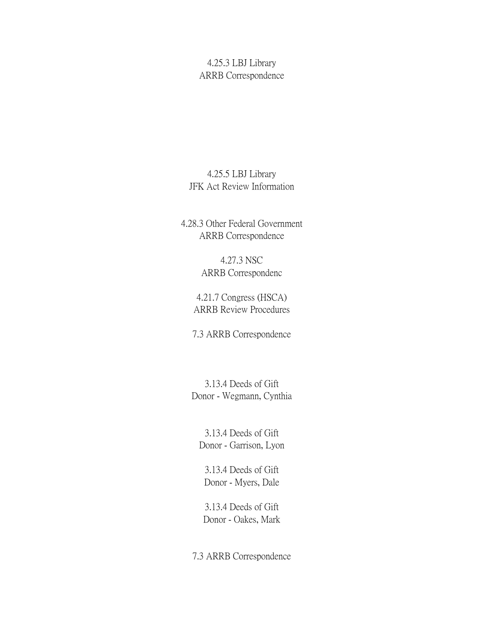## 4.25.3 LBJ Library ARRB Correspondence

## 4.25.5 LBJ Library JFK Act Review Information

4.28.3 Other Federal Government ARRB Correspondence

> 4.27.3 NSC ARRB Correspondenc

4.21.7 Congress (HSCA) ARRB Review Procedures

7.3 ARRB Correspondence

3.13.4 Deeds of Gift Donor - Wegmann, Cynthia

3.13.4 Deeds of Gift Donor - Garrison, Lyon

3.13.4 Deeds of Gift Donor - Myers, Dale

3.13.4 Deeds of Gift Donor - Oakes, Mark

7.3 ARRB Correspondence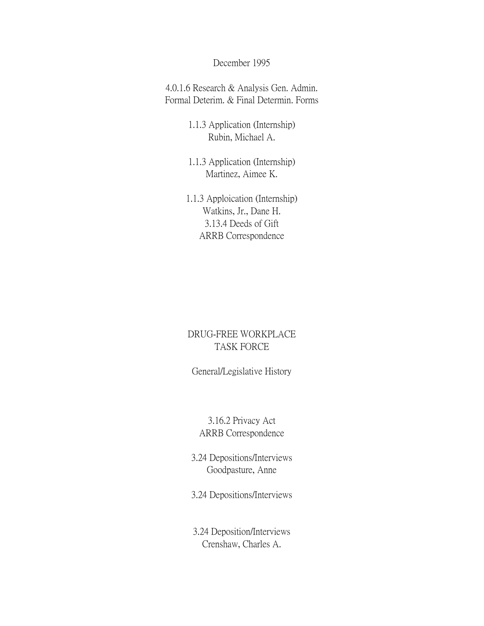#### December 1995

4.0.1.6 Research & Analysis Gen. Admin. Formal Deterim. & Final Determin. Forms

> 1.1.3 Application (Internship) Rubin, Michael A.

1.1.3 Application (Internship) Martinez, Aimee K.

1.1.3 Apploication (Internship) Watkins, Jr., Dane H. 3.13.4 Deeds of Gift ARRB Correspondence

## DRUG-FREE WORKPLACE TASK FORCE

## General/Legislative History

## 3.16.2 Privacy Act ARRB Correspondence

3.24 Depositions/Interviews Goodpasture, Anne

3.24 Depositions/Interviews

3.24 Deposition/Interviews Crenshaw, Charles A.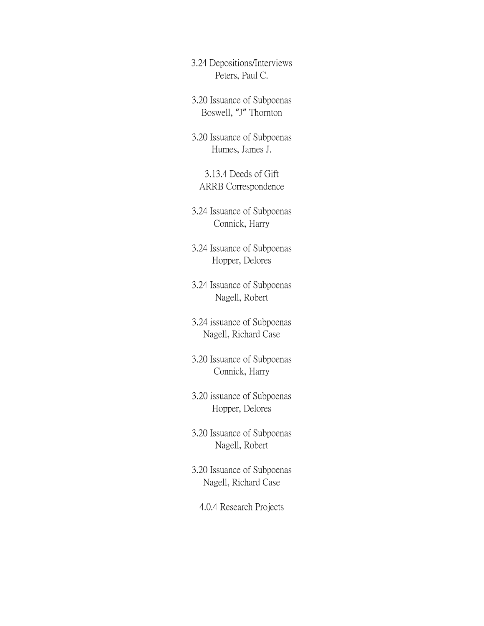3.24 Depositions/Interviews Peters, Paul C.

3.20 Issuance of Subpoenas Boswell, "J" Thornton

3.20 Issuance of Subpoenas Humes, James J.

3.13.4 Deeds of Gift ARRB Correspondence

3.24 Issuance of Subpoenas Connick, Harry

3.24 Issuance of Subpoenas Hopper, Delores

3.24 Issuance of Subpoenas Nagell, Robert

3.24 issuance of Subpoenas Nagell, Richard Case

3.20 Issuance of Subpoenas Connick, Harry

3.20 issuance of Subpoenas Hopper, Delores

3.20 Issuance of Subpoenas Nagell, Robert

3.20 Issuance of Subpoenas Nagell, Richard Case

4.0.4 Research Projects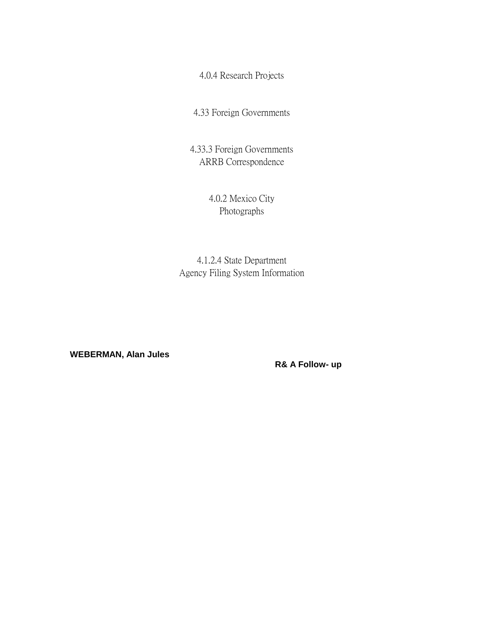4.0.4 Research Projects

4.33 Foreign Governments

4.33.3 Foreign Governments ARRB Correspondence

> 4.0.2 Mexico City Photographs

4.1.2.4 State Department Agency Filing System Information

 **WEBERMAN, Alan Jules**

 **R& A Follow- up**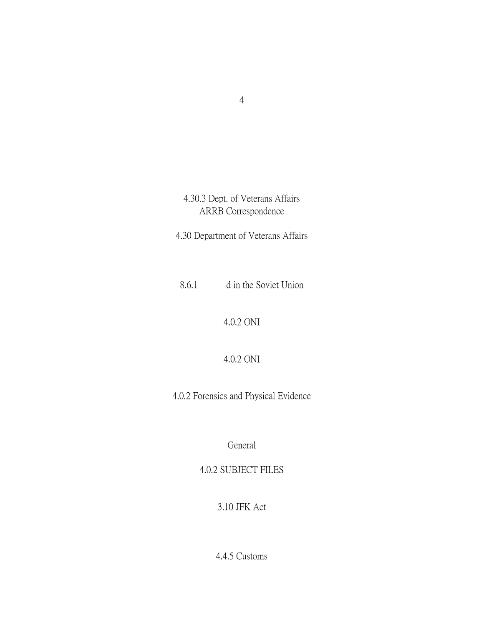# 4.30.3 Dept. of Veterans Affairs ARRB Correspondence

4.30 Department of Veterans Affairs

8.6.1 d in the Soviet Union

4.0.2 ONI

4.0.2 ONI

4.0.2 Forensics and Physical Evidence

General

4.0.2 SUBJECT FILES

3.10 JFK Act

4.4.5 Customs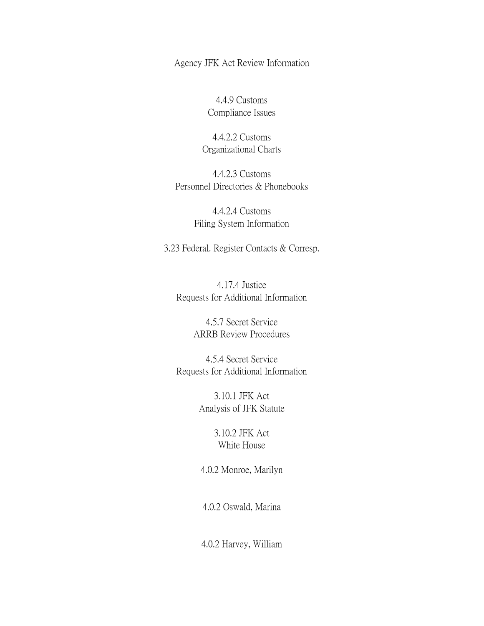Agency JFK Act Review Information

4.4.9 Customs Compliance Issues

4.4.2.2 Customs Organizational Charts

4.4.2.3 Customs Personnel Directories & Phonebooks

> 4.4.2.4 Customs Filing System Information

3.23 Federal. Register Contacts & Corresp.

4.17.4 Justice Requests for Additional Information

> 4.5.7 Secret Service ARRB Review Procedures

4.5.4 Secret Service Requests for Additional Information

> 3.10.1 JFK Act Analysis of JFK Statute

> > 3.10.2 JFK Act White House

4.0.2 Monroe, Marilyn

4.0.2 Oswald, Marina

4.0.2 Harvey, William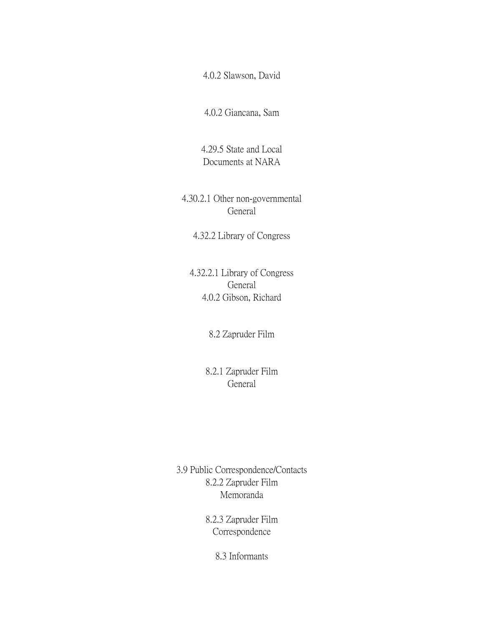4.0.2 Slawson, David

4.0.2 Giancana, Sam

4.29.5 State and Local Documents at NARA

4.30.2.1 Other non-governmental General

4.32.2 Library of Congress

4.32.2.1 Library of Congress General 4.0.2 Gibson, Richard

8.2 Zapruder Film

8.2.1 Zapruder Film General

3.9 Public Correspondence/Contacts 8.2.2 Zapruder Film Memoranda

> 8.2.3 Zapruder Film Correspondence

> > 8.3 Informants